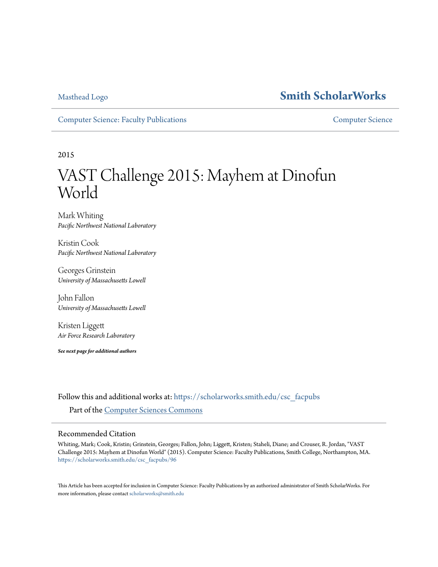## [Masthead Logo](http://www.smith.edu/?utm_source=scholarworks.smith.edu%2Fcsc_facpubs%2F96&utm_medium=PDF&utm_campaign=PDFCoverPages) **[Smith ScholarWorks](https://scholarworks.smith.edu?utm_source=scholarworks.smith.edu%2Fcsc_facpubs%2F96&utm_medium=PDF&utm_campaign=PDFCoverPages)**

[Computer Science: Faculty Publications](https://scholarworks.smith.edu/csc_facpubs?utm_source=scholarworks.smith.edu%2Fcsc_facpubs%2F96&utm_medium=PDF&utm_campaign=PDFCoverPages) [Computer Science](https://scholarworks.smith.edu/csc?utm_source=scholarworks.smith.edu%2Fcsc_facpubs%2F96&utm_medium=PDF&utm_campaign=PDFCoverPages)

2015

# VAST Challenge 2015: Mayhem at Dinofun World

Mark Whiting *Pacific Northwest National Laboratory*

Kristin Cook *Pacific Northwest National Laboratory*

Georges Grinstein *University of Massachusetts Lowell*

John Fallon *University of Massachusetts Lowell*

Kristen Liggett *Air Force Research Laboratory*

*See next page for additional authors*

Follow this and additional works at: [https://scholarworks.smith.edu/csc\\_facpubs](https://scholarworks.smith.edu/csc_facpubs?utm_source=scholarworks.smith.edu%2Fcsc_facpubs%2F96&utm_medium=PDF&utm_campaign=PDFCoverPages) Part of the [Computer Sciences Commons](http://network.bepress.com/hgg/discipline/142?utm_source=scholarworks.smith.edu%2Fcsc_facpubs%2F96&utm_medium=PDF&utm_campaign=PDFCoverPages)

### Recommended Citation

Whiting, Mark; Cook, Kristin; Grinstein, Georges; Fallon, John; Liggett, Kristen; Staheli, Diane; and Crouser, R. Jordan, "VAST Challenge 2015: Mayhem at Dinofun World" (2015). Computer Science: Faculty Publications, Smith College, Northampton, MA. [https://scholarworks.smith.edu/csc\\_facpubs/96](https://scholarworks.smith.edu/csc_facpubs/96?utm_source=scholarworks.smith.edu%2Fcsc_facpubs%2F96&utm_medium=PDF&utm_campaign=PDFCoverPages)

This Article has been accepted for inclusion in Computer Science: Faculty Publications by an authorized administrator of Smith ScholarWorks. For more information, please contact [scholarworks@smith.edu](mailto:scholarworks@smith.edu)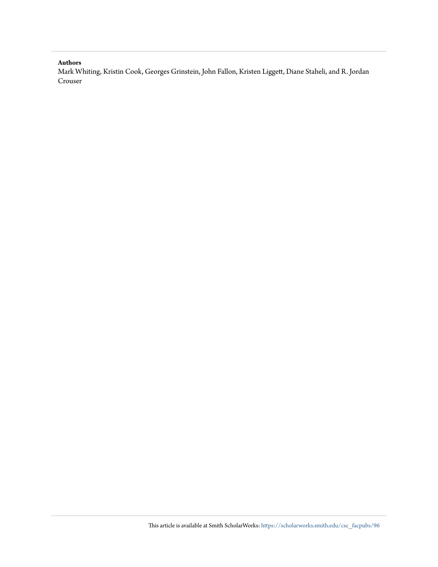#### **Authors**

Mark Whiting, Kristin Cook, Georges Grinstein, John Fallon, Kristen Liggett, Diane Staheli, and R. Jordan Crouser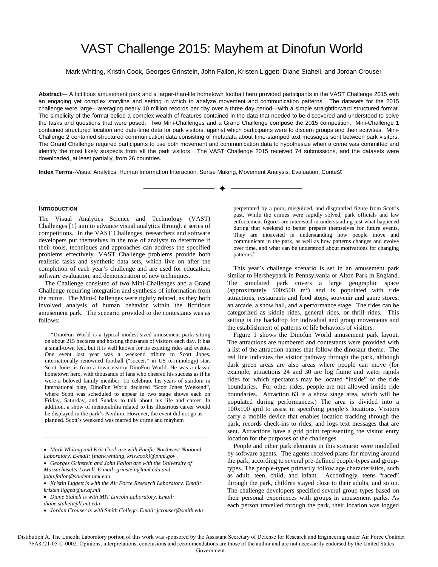# VAST Challenge 2015: Mayhem at Dinofun World

Mark Whiting, Kristin Cook, Georges Grinstein, John Fallon, Kristen Liggett, Diane Staheli, and Jordan Crouser

**Abstract**— A fictitious amusement park and a larger-than-life hometown football hero provided participants in the VAST Challenge 2015 with an engaging yet complex storyline and setting in which to analyze movement and communication patterns. The datasets for the 2015 challenge were large—averaging nearly 10 million records per day over a three day period—with a simple straightforward structured format. The simplicity of the format belied a complex wealth of features contained in the data that needed to be discovered and understood to solve the tasks and questions that were posed. Two Mini-Challenges and a Grand Challenge compose the 2015 competition. Mini-Challenge 1 contained structured location and date-time data for park visitors, against which participants were to discern groups and their activities. Mini-Challenge 2 contained structured communication data consisting of metadata about time-stamped text messages sent between park visitors. The Grand Challenge required participants to use both movement and communication data to hypothesize when a crime was committed and identify the most likely suspects from all the park visitors. The VAST Challenge 2015 received 74 submissions, and the datasets were downloaded, at least partially, from 26 countries.

**Index Terms**--Visual Analytics, Human Information Interaction, Sense Making, Movement Analysis, Evaluation, Contest

#### **INTRODUCTION**

The Visual Analytics Science and Technology (VAST) Challenges [1] aim to advance visual analytics through a series of competitions. In the VAST Challenges, researchers and software developers put themselves in the role of analysts to determine if their tools, techniques and approaches can address the specified problems effectively. VAST Challenge problems provide both realistic tasks and synthetic data sets, which live on after the completion of each year's challenge and are used for education, software evaluation, and demonstration of new techniques.

The Challenge consisted of two Mini-Challenges and a Grand Challenge requiring integration and synthesis of information from the minis. The Mini-Challenges were tightly related, as they both involved analysis of human behavior within the fictitious amusement park. The scenario provided to the contestants was as follows:

"DinoFun World is a typical modest-sized amusement park, sitting on about 215 hectares and hosting thousands of visitors each day. It has a small-town feel, but it is well known for its exciting rides and events. One event last year was a weekend tribute to Scott Jones, internationally renowned football ("soccer," in US terminology) star. Scott Jones is from a town nearby DinoFun World. He was a classic hometown hero, with thousands of fans who cheered his success as if he were a beloved family member. To celebrate his years of stardom in international play, DinoFun World declared "Scott Jones Weekend", where Scott was scheduled to appear in two stage shows each on Friday, Saturday, and Sunday to talk about his life and career. In addition, a show of memorabilia related to his illustrious career would be displayed in the park's Pavilion. However, the event did not go as planned. Scott's weekend was marred by crime and mayhem

• *Georges Grinstein and John Fallon are with the University of Massachusetts-Lowell. E-mail: grinstein@uml.edu and* 

*john.fallon@student.uml.edu*

perpetrated by a poor, misguided, and disgruntled figure from Scott's past. While the crimes were rapidly solved, park officials and law enforcement figures are interested in understanding just what happened during that weekend to better prepare themselves for future events. They are interested in understanding how people move and communicate in the park, as well as how patterns changes and evolve over time, and what can be understood about motivations for changing patterns."

This year's challenge scenario is set in an amusement park similar to Hersheypark in Pennsylvania or Alton Park in England. The simulated park covers a large geographic space (approximately  $500x500$  m<sup>2</sup>) and is populated with ride attractions, restaurants and food stops, souvenir and game stores, an arcade, a show hall, and a performance stage. The rides can be categorized as kiddie rides, general rides, or thrill rides. This setting is the backdrop for individual and group movements and the establishment of patterns of life behaviors of visitors.

Figure 1 shows the Dinofun World amusement park layout. The attractions are numbered and contestants were provided with a list of the attraction names that follow the dinosaur theme. The red line indicates the visitor pathway through the park, although dark green areas are also areas where people can move (for example, attractions 24 and 30 are log flume and water rapids rides for which spectators may be located "inside" of the ride boundaries. For other rides, people are not allowed inside ride boundaries. Attraction 63 is a show stage area, which will be populated during performances.) The area is divided into a 100x100 grid to assist in specifying people's locations. Visitors carry a mobile device that enables location tracking through the park, records check-ins to rides, and logs text messages that are sent. Attractions have a grid point representing the visitor entry location for the purposes of the challenges.

People and other park elements in this scenario were modelled by software agents. The agents received plans for moving around the park, according to several pre-defined people-types and grouptypes. The people-types primarily follow age characteristics, such as adult, teen, child, and infant. Accordingly, teens "raced" through the park, children stayed close to their adults, and so on. The challenge developers specified several group types based on their personal experiences with groups in amusement parks. As each person travelled through the park, their location was logged

<sup>•</sup> *Mark Whiting and Kris Cook are with Pacific Northwest National Laboratory. E-mail: {mark.whiting, kris.cook}@pnnl.gov*

<sup>•</sup> *Kristin Liggett is with the Air Force Research Laboratory. Email: kristen.liggett@us.af.mil*

<sup>•</sup> *Diane Staheli is with MIT Lincoln Laboratory. Email: diane.staheli@ll.mit.edu*

<sup>•</sup> *Jordan Crouser is with Smith College. Email: jcrouser@smith.edu*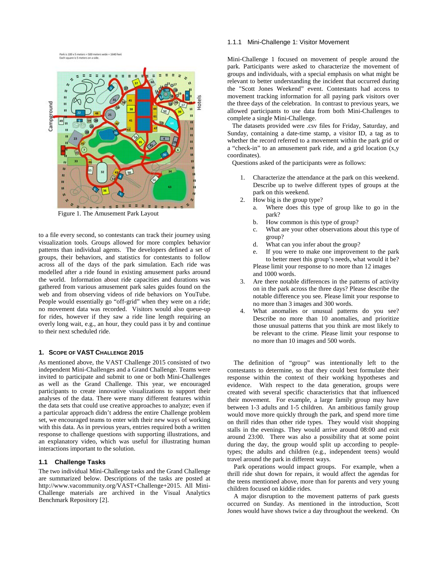Park is 100 x 5 meters = 500 meters wide = 1640 feet<br>Each square is 5 meters on a side.



Figure 1. The Amusement Park Layout

to a file every second, so contestants can track their journey using visualization tools. Groups allowed for more complex behavior patterns than individual agents. The developers defined a set of groups, their behaviors, and statistics for contestants to follow across all of the days of the park simulation. Each ride was modelled after a ride found in existing amusement parks around the world. Information about ride capacities and durations was gathered from various amusement park sales guides found on the web and from observing videos of ride behaviors on YouTube. People would essentially go "off-grid" when they were on a ride; no movement data was recorded. Visitors would also queue-up for rides, however if they saw a ride line length requiring an overly long wait, e.g., an hour, they could pass it by and continue to their next scheduled ride.

#### **1. SCOPE OF VAST CHALLENGE 2015**

As mentioned above, the VAST Challenge 2015 consisted of two independent Mini-Challenges and a Grand Challenge. Teams were invited to participate and submit to one or both Mini-Challenges as well as the Grand Challenge. This year, we encouraged participants to create innovative visualizations to support their analyses of the data. There were many different features within the data sets that could use creative approaches to analyze; even if a particular approach didn't address the entire Challenge problem set, we encouraged teams to enter with their new ways of working with this data. As in previous years, entries required both a written response to challenge questions with supporting illustrations, and an explanatory video, which was useful for illustrating human interactions important to the solution.

#### **1.1 Challenge Tasks**

The two individual Mini-Challenge tasks and the Grand Challenge are summarized below. Descriptions of the tasks are posted at http://www.vacommunity.org/VAST+Challenge+2015. All Mini-Challenge materials are archived in the Visual Analytics Benchmark Repository [2].

#### 1.1.1 Mini-Challenge 1: Visitor Movement

Mini-Challenge 1 focused on movement of people around the park. Participants were asked to characterize the movement of groups and individuals, with a special emphasis on what might be relevant to better understanding the incident that occurred during the "Scott Jones Weekend" event. Contestants had access to movement tracking information for all paying park visitors over the three days of the celebration. In contrast to previous years, we allowed participants to use data from both Mini-Challenges to complete a single Mini-Challenge.

 The datasets provided were .csv files for Friday, Saturday, and Sunday, containing a date-time stamp, a visitor ID, a tag as to whether the record referred to a movement within the park grid or a "check-in" to an amusement park ride, and a grid location (x,y coordinates).

Questions asked of the participants were as follows:

- 1. Characterize the attendance at the park on this weekend. Describe up to twelve different types of groups at the park on this weekend.
- 2. How big is the group type?
	- a. Where does this type of group like to go in the park?
	- b. How common is this type of group?
	- c. What are your other observations about this type of group?
	- d. What can you infer about the group?
	- e. If you were to make one improvement to the park to better meet this group's needs, what would it be? Please limit your response to no more than 12 images and 1000 words.
- 3. Are there notable differences in the patterns of activity on in the park across the three days? Please describe the notable difference you see. Please limit your response to no more than 3 images and 300 words.
- 4. What anomalies or unusual patterns do you see? Describe no more than 10 anomalies, and prioritize those unusual patterns that you think are most likely to be relevant to the crime. Please limit your response to no more than 10 images and 500 words.

The definition of "group" was intentionally left to the contestants to determine, so that they could best formulate their response within the context of their working hypotheses and evidence. With respect to the data generation, groups were created with several specific characteristics that that influenced their movement. For example, a large family group may have between 1-3 adults and 1-5 children. An ambitious family group would move more quickly through the park, and spend more time on thrill rides than other ride types. They would visit shopping stalls in the evenings. They would arrive around 08:00 and exit around 23:00. There was also a possibility that at some point during the day, the group would split up according to peopletypes; the adults and children (e.g., independent teens) would travel around the park in different ways.

Park operations would impact groups. For example, when a thrill ride shut down for repairs, it would affect the agendas for the teens mentioned above, more than for parents and very young children focused on kiddie rides.

A major disruption to the movement patterns of park guests occurred on Sunday. As mentioned in the introduction, Scott Jones would have shows twice a day throughout the weekend. On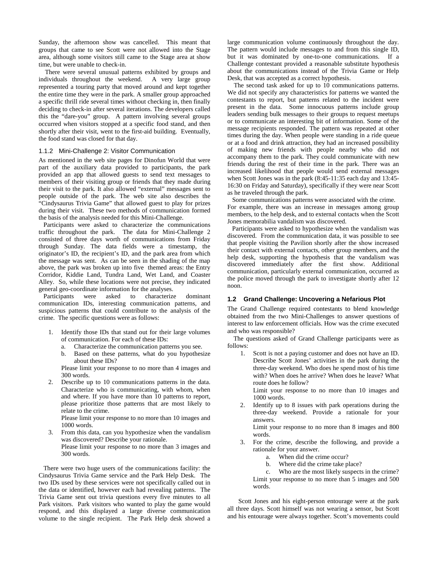Sunday, the afternoon show was cancelled. This meant that groups that came to see Scott were not allowed into the Stage area, although some visitors still came to the Stage area at show time, but were unable to check-in.

There were several unusual patterns exhibited by groups and individuals throughout the weekend. A very large group represented a touring party that moved around and kept together the entire time they were in the park. A smaller group approached a specific thrill ride several times without checking in, then finally deciding to check-in after several iterations. The developers called this the "dare-you" group. A pattern involving several groups occurred when visitors stopped at a specific food stand, and then shortly after their visit, went to the first-aid building. Eventually, the food stand was closed for that day.

#### 1.1.2 Mini-Challenge 2: Visitor Communication

As mentioned in the web site pages for Dinofun World that were part of the auxiliary data provided to participants, the park provided an app that allowed guests to send text messages to members of their visiting group or friends that they made during their visit to the park. It also allowed "external" messages sent to people outside of the park. The web site also describes the "Cindysaurus Trivia Game" that allowed guest to play for prizes during their visit. These two methods of communication formed the basis of the analysis needed for this Mini-Challenge.

 Participants were asked to characterize the communications traffic throughout the park. The data for Mini-Challenge 2 consisted of three days worth of communications from Friday through Sunday. The data fields were a timestamp, the originator's ID, the recipient's ID, and the park area from which the message was sent. As can be seen in the shading of the map above, the park was broken up into five themed areas: the Entry Corridor, Kiddie Land, Tundra Land, Wet Land, and Coaster Alley. So, while these locations were not precise, they indicated general geo-coordinate information for the analyses.

 Participants were asked to characterize dominant communication IDs, interesting communication patterns, and suspicious patterns that could contribute to the analysis of the crime. The specific questions were as follows:

- 1. Identify those IDs that stand out for their large volumes of communication. For each of these IDs:
	- a. Characterize the communication patterns you see.
	- b. Based on these patterns, what do you hypothesize about these IDs?

Please limit your response to no more than 4 images and 300 words.

2. Describe up to 10 communications patterns in the data. Characterize who is communicating, with whom, when and where. If you have more than 10 patterns to report, please prioritize those patterns that are most likely to relate to the crime.

Please limit your response to no more than 10 images and 1000 words.

3. From this data, can you hypothesize when the vandalism was discovered? Describe your rationale. Please limit your response to no more than 3 images and 300 words.

 There were two huge users of the communications facility: the Cindysaurus Trivia Game service and the Park Help Desk. The two IDs used by these services were not specifically called out in the data or identified, however each had revealing patterns. The Trivia Game sent out trivia questions every five minutes to all Park visitors. Park visitors who wanted to play the game would respond, and this displayed a large diverse communication volume to the single recipient. The Park Help desk showed a large communication volume continuously throughout the day. The pattern would include messages to and from this single ID, but it was dominated by one-to-one communications. If a Challenge contestant provided a reasonable substitute hypothesis about the communications instead of the Trivia Game or Help Desk, that was accepted as a correct hypothesis.

 The second task asked for up to 10 communications patterns. We did not specify any characteristics for patterns we wanted the contestants to report, but patterns related to the incident were present in the data. Some innocuous patterns include group leaders sending bulk messages to their groups to request meetups or to communicate an interesting bit of information. Some of the message recipients responded. The pattern was repeated at other times during the day. When people were standing in a ride queue or at a food and drink attraction, they had an increased possibility of making new friends with people nearby who did not accompany them to the park. They could communicate with new friends during the rest of their time in the park. There was an increased likelihood that people would send external messages when Scott Jones was in the park (8:45-11:35 each day and 13:45- 16:30 on Friday and Saturday), specifically if they were near Scott as he traveled through the park.

 Some communications patterns were associated with the crime. For example, there was an increase in messages among group members, to the help desk, and to external contacts when the Scott Jones memorabilia vandalism was discovered.

 Participants were asked to hypothesize when the vandalism was discovered. From the communication data, it was possible to see that people visiting the Pavilion shortly after the show increased their contact with external contacts, other group members, and the help desk, supporting the hypothesis that the vandalism was discovered immediately after the first show. Additional communication, particularly external communication, occurred as the police moved through the park to investigate shortly after 12 noon.

#### **1.2 Grand Challenge: Uncovering a Nefarious Plot**

The Grand Challenge required contestants to blend knowledge obtained from the two Mini-Challenges to answer questions of interest to law enforcement officials. How was the crime executed and who was responsible?

The questions asked of Grand Challenge participants were as follows:

1. Scott is not a paying customer and does not have an ID. Describe Scott Jones' activities in the park during the three-day weekend. Who does he spend most of his time with? When does he arrive? When does he leave? What route does he follow?

Limit your response to no more than 10 images and 1000 words.

2. Identify up to 8 issues with park operations during the three-day weekend. Provide a rationale for your answers.

Limit your response to no more than 8 images and 800 words.

- 3. For the crime, describe the following, and provide a rationale for your answer.
	- a. When did the crime occur?
	- b. Where did the crime take place?
	- c. Who are the most likely suspects in the crime?

Limit your response to no more than 5 images and 500 words.

 Scott Jones and his eight-person entourage were at the park all three days. Scott himself was not wearing a sensor, but Scott and his entourage were always together. Scott's movements could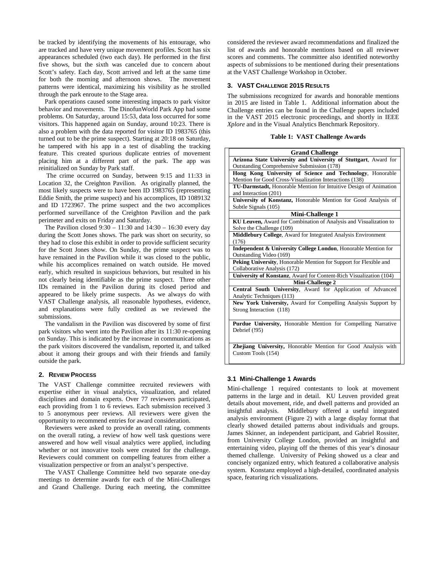be tracked by identifying the movements of his entourage, who are tracked and have very unique movement profiles. Scott has six appearances scheduled (two each day). He performed in the first five shows, but the sixth was canceled due to concern about Scott's safety. Each day, Scott arrived and left at the same time for both the morning and afternoon shows. The movement patterns were identical, maximizing his visibility as he strolled through the park enroute to the Stage area.

Park operations caused some interesting impacts to park visitor behavior and movements. The DinofunWorld Park App had some problems. On Saturday, around 15:53, data loss occurred for some visitors. This happened again on Sunday, around 10:23. There is also a problem with the data reported for visitor ID 1983765 (this turned out to be the prime suspect). Starting at 20:18 on Saturday, he tampered with his app in a test of disabling the tracking feature. This created spurious duplicate entries of movement placing him at a different part of the park. The app was reinitialized on Sunday by Park staff.

The crime occurred on Sunday, between 9:15 and 11:33 in Location 32, the Creighton Pavilion. As originally planned, the most likely suspects were to have been ID 1983765 (representing Eddie Smith, the prime suspect) and his accomplices, ID 1089132 and ID 1723967. The prime suspect and the two accomplices performed surveillance of the Creighton Pavilion and the park perimeter and exits on Friday and Saturday.

The Pavilion closed 9:30 – 11:30 and 14:30 – 16:30 every day during the Scott Jones shows. The park was short on security, so they had to close this exhibit in order to provide sufficient security for the Scott Jones show. On Sunday, the prime suspect was to have remained in the Pavilion while it was closed to the public, while his accomplices remained on watch outside. He moved early, which resulted in suspicious behaviors, but resulted in his not clearly being identifiable as the prime suspect. Three other IDs remained in the Pavilion during its closed period and appeared to be likely prime suspects. As we always do with VAST Challenge analysis, all reasonable hypotheses, evidence, and explanations were fully credited as we reviewed the submissions.

The vandalism in the Pavilion was discovered by some of first park visitors who went into the Pavilion after its 11:30 re-opening on Sunday. This is indicated by the increase in communications as the park visitors discovered the vandalism, reported it, and talked about it among their groups and with their friends and family outside the park.

#### **2. REVIEW PROCESS**

The VAST Challenge committee recruited reviewers with expertise either in visual analytics, visualization, and related disciplines and domain experts. Over 77 reviewers participated, each providing from 1 to 6 reviews. Each submission received 3 to 5 anonymous peer reviews. All reviewers were given the opportunity to recommend entries for award consideration.

Reviewers were asked to provide an overall rating, comments on the overall rating, a review of how well task questions were answered and how well visual analytics were applied, including whether or not innovative tools were created for the challenge. Reviewers could comment on compelling features from either a visualization perspective or from an analyst's perspective.

The VAST Challenge Committee held two separate one-day meetings to determine awards for each of the Mini-Challenges and Grand Challenge. During each meeting, the committee considered the reviewer award recommendations and finalized the list of awards and honorable mentions based on all reviewer scores and comments. The committee also identified noteworthy aspects of submissions to be mentioned during their presentations at the VAST Challenge Workshop in October.

#### **3. VAST CHALLENGE 2015 RESULTS**

The submissions recognized for awards and honorable mentions in 2015 are listed in Table 1. Additional information about the Challenge entries can be found in the Challenge papers included in the VAST 2015 electronic proceedings, and shortly in IEEE *Xplore* and in the Visual Analytics Benchmark Repository.

#### **Table 1: VAST Challenge Awards**

| <b>Grand Challenge</b>                                                    |  |  |  |  |  |  |  |  |
|---------------------------------------------------------------------------|--|--|--|--|--|--|--|--|
| Arizona State University and University of Stuttgart, Award for           |  |  |  |  |  |  |  |  |
| Outstanding Comprehensive Submission (178)                                |  |  |  |  |  |  |  |  |
| Hong Kong University of Science and Technology, Honorable                 |  |  |  |  |  |  |  |  |
| Mention for Good Cross-Visualization Interactions (138)                   |  |  |  |  |  |  |  |  |
| <b>TU-Darmstadt</b> , Honorable Mention for Intuitive Design of Animation |  |  |  |  |  |  |  |  |
| and Interaction (201)                                                     |  |  |  |  |  |  |  |  |
| University of Konstanz, Honorable Mention for Good Analysis of            |  |  |  |  |  |  |  |  |
| Subtle Signals (105)                                                      |  |  |  |  |  |  |  |  |
| Mini-Challenge 1                                                          |  |  |  |  |  |  |  |  |
| KU Leuven, Award for Combination of Analysis and Visualization to         |  |  |  |  |  |  |  |  |
| Solve the Challenge (109)                                                 |  |  |  |  |  |  |  |  |
| Middlebury College, Award for Integrated Analysis Environment             |  |  |  |  |  |  |  |  |
| (176)                                                                     |  |  |  |  |  |  |  |  |
| Independent & University College London, Honorable Mention for            |  |  |  |  |  |  |  |  |
| Outstanding Video (169)                                                   |  |  |  |  |  |  |  |  |
| Peking University, Honorable Mention for Support for Flexible and         |  |  |  |  |  |  |  |  |
| Collaborative Analysis (172)                                              |  |  |  |  |  |  |  |  |
| University of Konstanz, Award for Content-Rich Visualization (104)        |  |  |  |  |  |  |  |  |
| <b>Mini-Challenge 2</b>                                                   |  |  |  |  |  |  |  |  |
| Central South University, Award for Application of Advanced               |  |  |  |  |  |  |  |  |
| Analytic Techniques (113)                                                 |  |  |  |  |  |  |  |  |
| New York University, Award for Compelling Analysis Support by             |  |  |  |  |  |  |  |  |
| Strong Interaction (118)                                                  |  |  |  |  |  |  |  |  |
|                                                                           |  |  |  |  |  |  |  |  |
| <b>Purdue University, Honorable Mention for Compelling Narrative</b>      |  |  |  |  |  |  |  |  |
| Debrief (!95)                                                             |  |  |  |  |  |  |  |  |
|                                                                           |  |  |  |  |  |  |  |  |

**Zhejiang University,** Honorable Mention for Good Analysis with Custom Tools (154)

#### **3.1 Mini-Challenge 1 Awards**

Mini-challenge 1 required contestants to look at movement patterns in the large and in detail. KU Leuven provided great details about movement, ride, and dwell patterns and provided an insightful analysis. Middlebury offered a useful integrated analysis environment (Figure 2) with a large display format that clearly showed detailed patterns about individuals and groups. James Skinner, an independent participant, and Gabriel Rossiter, from University College London, provided an insightful and entertaining video, playing off the themes of this year's dinosaur themed challenge. University of Peking showed us a clear and concisely organized entry, which featured a collaborative analysis system. Konstanz employed a high-detailed, coordinated analysis space, featuring rich visualizations.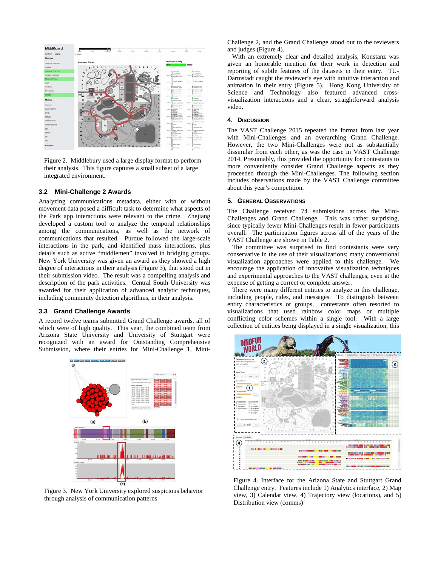

Figure 2. Middlebury used a large display format to perform their analysis. This figure captures a small subset of a large integrated environment.

#### **3.2 Mini-Challenge 2 Awards**

Analyzing communications metadata, either with or without movement data posed a difficult task to determine what aspects of the Park app interactions were relevant to the crime. Zhejiang developed a custom tool to analyze the temporal relationships among the communications, as well as the network of communications that resulted. Purdue followed the large-scale interactions in the park, and identified mass interactions, plus details such as active "middlemen" involved in bridging groups. New York University was given an award as they showed a high degree of interactions in their analysis (Figure 3), that stood out in their submission video. The result was a compelling analysis and description of the park activities. Central South University was awarded for their application of advanced analytic techniques, including community detection algorithms, in their analysis.

#### **3.3 Grand Challenge Awards**

A record twelve teams submitted Grand Challenge awards, all of which were of high quality. This year, the combined team from Arizona State University and University of Stuttgart were recognized with an award for Outstanding Comprehensive Submission, where their entries for Mini-Challenge 1, Mini-



Figure 3. New York University explored suspicious behavior through analysis of communication patterns

Challenge 2, and the Grand Challenge stood out to the reviewers and judges (Figure 4).

 With an extremely clear and detailed analysis, Konstanz was given an honorable mention for their work in detection and reporting of subtle features of the datasets in their entry. TU-Darmstadt caught the reviewer's eye with intuitive interaction and animation in their entry (Figure 5). Hong Kong University of Science and Technology also featured advanced crossvisualization interactions and a clear, straightforward analysis video.

#### **4. DISCUSSION**

The VAST Challenge 2015 repeated the format from last year with Mini-Challenges and an overarching Grand Challenge. However, the two Mini-Challenges were not as substantially dissimilar from each other, as was the case in VAST Challenge 2014. Presumably, this provided the opportunity for contestants to more conveniently consider Grand Challenge aspects as they proceeded through the Mini-Challenges. The following section includes observations made by the VAST Challenge committee about this year's competition.

#### **5. GENERAL OBSERVATIONS**

The Challenge received 74 submissions across the Mini-Challenges and Grand Challenge. This was rather surprising, since typically fewer Mini-Challenges result in fewer participants overall. The participation figures across all of the years of the VAST Challenge are shown in Table 2.

 The committee was surprised to find contestants were very conservative in the use of their visualizations; many conventional visualization approaches were applied to this challenge. We encourage the application of innovative visualization techniques and experimental approaches to the VAST challenges, even at the expense of getting a correct or complete answer.

 There were many different entities to analyze in this challenge, including people, rides, and messages. To distinguish between entity characteristics or groups, contestants often resorted to visualizations that used rainbow color maps or multiple conflicting color schemes within a single tool. With a large collection of entities being displayed in a single visualization, this



Figure 4. Interface for the Arizona State and Stuttgart Grand Challenge entry. Features include 1) Analytics interface, 2) Map view, 3) Calendar view, 4) Trajectory view (locations), and 5) Distribution view (comms)